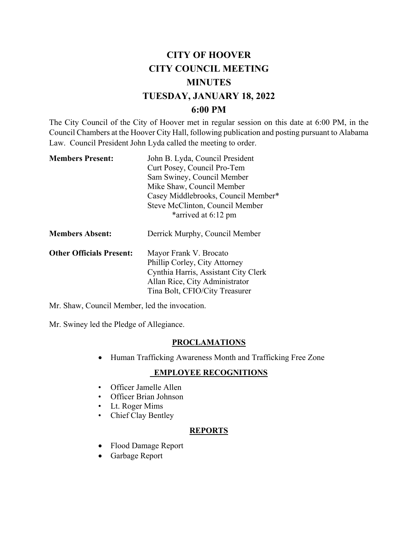# **CITY OF HOOVER CITY COUNCIL MEETING MINUTES TUESDAY, JANUARY 18, 2022 6:00 PM**

The City Council of the City of Hoover met in regular session on this date at 6:00 PM, in the Council Chambers at the Hoover City Hall, following publication and posting pursuant to Alabama Law. Council President John Lyda called the meeting to order.

| <b>Members Present:</b>         | John B. Lyda, Council President<br>Curt Posey, Council Pro-Tem<br>Sam Swiney, Council Member<br>Mike Shaw, Council Member<br>Casey Middlebrooks, Council Member*<br>Steve McClinton, Council Member |  |
|---------------------------------|-----------------------------------------------------------------------------------------------------------------------------------------------------------------------------------------------------|--|
| <b>Members Absent:</b>          | *arrived at 6:12 pm<br>Derrick Murphy, Council Member                                                                                                                                               |  |
| <b>Other Officials Present:</b> | Mayor Frank V. Brocato                                                                                                                                                                              |  |

| <b>Other Officials Present:</b> | Mayor Frank V. Brocato               |  |
|---------------------------------|--------------------------------------|--|
|                                 | Phillip Corley, City Attorney        |  |
|                                 | Cynthia Harris, Assistant City Clerk |  |
|                                 | Allan Rice, City Administrator       |  |
|                                 | Tina Bolt, CFIO/City Treasurer       |  |
|                                 |                                      |  |

Mr. Shaw, Council Member, led the invocation.

Mr. Swiney led the Pledge of Allegiance.

# **PROCLAMATIONS**

• Human Trafficking Awareness Month and Trafficking Free Zone

# **EMPLOYEE RECOGNITIONS**

- Officer Jamelle Allen
- Officer Brian Johnson
- Lt. Roger Mims
- Chief Clay Bentley

# **REPORTS**

- Flood Damage Report
- Garbage Report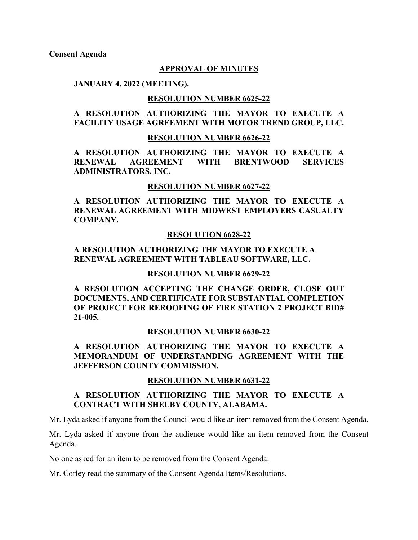### **APPROVAL OF MINUTES**

#### **JANUARY 4, 2022 (MEETING).**

#### **RESOLUTION NUMBER 6625-22**

### **A RESOLUTION AUTHORIZING THE MAYOR TO EXECUTE A FACILITY USAGE AGREEMENT WITH MOTOR TREND GROUP, LLC.**

#### **RESOLUTION NUMBER 6626-22**

**A RESOLUTION AUTHORIZING THE MAYOR TO EXECUTE A RENEWAL AGREEMENT WITH BRENTWOOD SERVICES ADMINISTRATORS, INC.**

#### **RESOLUTION NUMBER 6627-22**

**A RESOLUTION AUTHORIZING THE MAYOR TO EXECUTE A RENEWAL AGREEMENT WITH MIDWEST EMPLOYERS CASUALTY COMPANY.**

#### **RESOLUTION 6628-22**

### **A RESOLUTION AUTHORIZING THE MAYOR TO EXECUTE A RENEWAL AGREEMENT WITH TABLEAU SOFTWARE, LLC.**

#### **RESOLUTION NUMBER 6629-22**

**A RESOLUTION ACCEPTING THE CHANGE ORDER, CLOSE OUT DOCUMENTS, AND CERTIFICATE FOR SUBSTANTIAL COMPLETION OF PROJECT FOR REROOFING OF FIRE STATION 2 PROJECT BID# 21-005.** 

#### **RESOLUTION NUMBER 6630-22**

**A RESOLUTION AUTHORIZING THE MAYOR TO EXECUTE A MEMORANDUM OF UNDERSTANDING AGREEMENT WITH THE JEFFERSON COUNTY COMMISSION.**

#### **RESOLUTION NUMBER 6631-22**

## **A RESOLUTION AUTHORIZING THE MAYOR TO EXECUTE A CONTRACT WITH SHELBY COUNTY, ALABAMA.**

Mr. Lyda asked if anyone from the Council would like an item removed from the Consent Agenda.

Mr. Lyda asked if anyone from the audience would like an item removed from the Consent Agenda.

No one asked for an item to be removed from the Consent Agenda.

Mr. Corley read the summary of the Consent Agenda Items/Resolutions.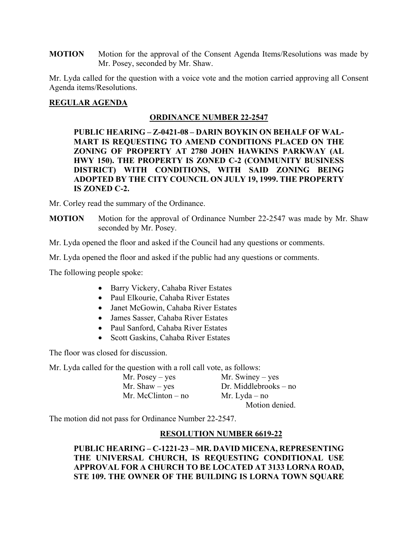**MOTION** Motion for the approval of the Consent Agenda Items/Resolutions was made by Mr. Posey, seconded by Mr. Shaw.

Mr. Lyda called for the question with a voice vote and the motion carried approving all Consent Agenda items/Resolutions.

# **REGULAR AGENDA**

### **ORDINANCE NUMBER 22-2547**

**PUBLIC HEARING – Z-0421-08 – DARIN BOYKIN ON BEHALF OF WAL-MART IS REQUESTING TO AMEND CONDITIONS PLACED ON THE ZONING OF PROPERTY AT 2780 JOHN HAWKINS PARKWAY (AL HWY 150). THE PROPERTY IS ZONED C-2 (COMMUNITY BUSINESS DISTRICT) WITH CONDITIONS, WITH SAID ZONING BEING ADOPTED BY THE CITY COUNCIL ON JULY 19, 1999. THE PROPERTY IS ZONED C-2.** 

Mr. Corley read the summary of the Ordinance.

**MOTION** Motion for the approval of Ordinance Number 22-2547 was made by Mr. Shaw seconded by Mr. Posey.

Mr. Lyda opened the floor and asked if the Council had any questions or comments.

Mr. Lyda opened the floor and asked if the public had any questions or comments.

The following people spoke:

- Barry Vickery, Cahaba River Estates
- Paul Elkourie, Cahaba River Estates
- Janet McGowin, Cahaba River Estates
- James Sasser, Cahaba River Estates
- Paul Sanford, Cahaba River Estates
- Scott Gaskins, Cahaba River Estates

The floor was closed for discussion.

Mr. Lyda called for the question with a roll call vote, as follows:

| Mr. Posey $-$ yes    | Mr. Swiney $-$ yes      |
|----------------------|-------------------------|
| Mr. Shaw $-$ yes     | $Dr.$ Middlebrooks – no |
| Mr. McClinton $-$ no | Mr. Lyda – no           |
|                      | Motion denied.          |

The motion did not pass for Ordinance Number 22-2547.

# **RESOLUTION NUMBER 6619-22**

**PUBLIC HEARING – C-1221-23 – MR. DAVID MICENA, REPRESENTING THE UNIVERSAL CHURCH, IS REQUESTING CONDITIONAL USE APPROVAL FOR A CHURCH TO BE LOCATED AT 3133 LORNA ROAD, STE 109. THE OWNER OF THE BUILDING IS LORNA TOWN SQUARE**